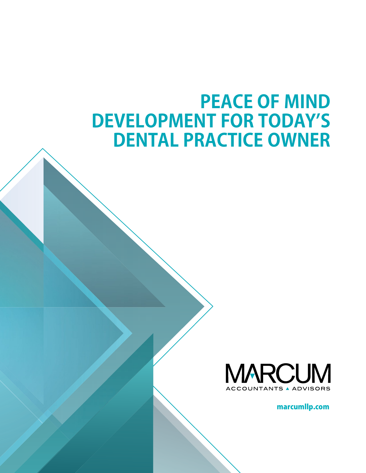## **PEACE OF MIND DEVELOPMENT FOR TODAY'S DENTAL PRACTICE OWNER**



marcumllp.com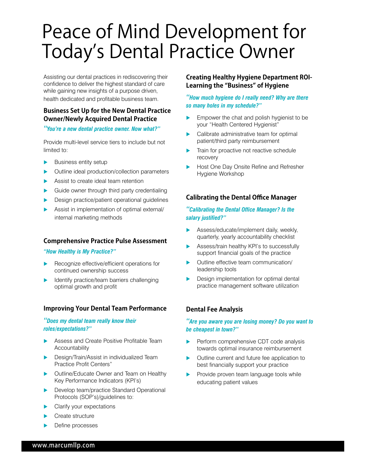# Peace of Mind Development for Today's Dental Practice Owner

Assisting our dental practices in rediscovering their confidence to deliver the highest standard of care while gaining new insights of a purpose driven, health dedicated and profitable business team.

## **Business Set Up for the New Dental Practice Owner/Newly Acquired Dental Practice**

*"You're a new dental practice owner. Now what?"*

Provide multi-level service tiers to include but not limited to:

- Business entity setup
- Outline ideal production/collection parameters
- Assist to create ideal team retention
- Guide owner through third party credentialing
- Design practice/patient operational guidelines
- Assist in implementation of optimal external/ internal marketing methods

## **Comprehensive Practice Pulse Assessment**

*"How Healthy is My Practice?"* 

- Recognize effective/efficient operations for continued ownership success
- Identify practice/team barriers challenging optimal growth and profit

## **Improving Your Dental Team Performance**

#### *"Does my dental team really know their roles/expectations?"*

- Assess and Create Positive Profitable Team Accountability
- Design/Train/Assist in individualized Team Practice Profit Centers"
- **Dutline/Educate Owner and Team on Healthy** Key Performance Indicators (KPI's)
- **Develop team/practice Standard Operational** Protocols (SOP's)/guidelines to:
- Clarify your expectations
- Create structure
- Define processes

## **Creating Healthy Hygiene Department ROI-Learning the "Business" of Hygiene**

#### *"How much hygiene do I really need? Why are there so many holes in my schedule?"*

- Empower the chat and polish hygienist to be your "Health Centered Hygienist"
- Calibrate administrative team for optimal patient/third party reimbursement
- Train for proactive not reactive schedule recovery
- Host One Day Onsite Refine and Refresher Hygiene Workshop

## **Calibrating the Dental Office Manager**

#### *"Calibrating the Dental Office Manager? Is the salary justified?"*

- Assess/educate/implement daily, weekly, quarterly, yearly accountability checklist
- Assess/train healthy KPI's to successfully support financial goals of the practice
- Outline effective team communication/ leadership tools
- Design implementation for optimal dental practice management software utilization

## **Dental Fee Analysis**

#### *"Are you aware you are losing money? Do you want to be cheapest in town?"*

- Perform comprehensive CDT code analysis towards optimal insurance reimbursement
- Outline current and future fee application to best financially support your practice
- Provide proven team language tools while educating patient values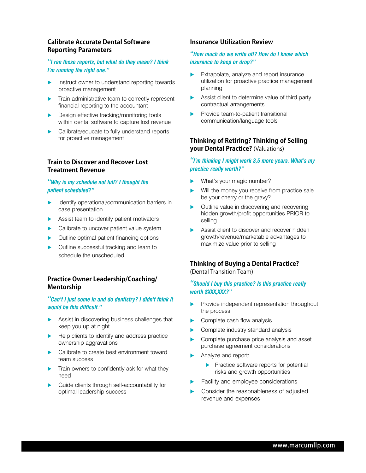#### **Calibrate Accurate Dental Software Reporting Parameters**

#### *"I ran these reports, but what do they mean? I think I'm running the right one."*

- Instruct owner to understand reporting towards proactive management
- **Train administrative team to correctly represent** financial reporting to the accountant
- Design effective tracking/monitoring tools within dental software to capture lost revenue
- **Calibrate/educate to fully understand reports** for proactive management

## **Train to Discover and Recover Lost Treatment Revenue**

#### *"Why is my schedule not full? I thought the patient scheduled?"*

- Identify operational/communication barriers in case presentation
- Assist team to identify patient motivators
- Calibrate to uncover patient value system
- Outline optimal patient financing options
- **Dutline successful tracking and learn to** schedule the unscheduled

## **Practice Owner Leadership/Coaching/ Mentorship**

#### *"Can't I just come in and do dentistry? I didn't think it would be this difficult."*

- Assist in discovering business challenges that keep you up at night
- $\blacktriangleright$  Help clients to identify and address practice ownership aggravations
- ▶ Calibrate to create best environment toward team success
- $\blacktriangleright$  Train owners to confidently ask for what they need
- Guide clients through self-accountability for optimal leadership success

#### **Insurance Utilization Review**

#### *"How much do we write off? How do I know which insurance to keep or drop?"*

- Extrapolate, analyze and report insurance utilization for proactive practice management planning
- Assist client to determine value of third party contractual arrangements
- Provide team-to-patient transitional communication/language tools

## **Thinking of Retiring? Thinking of Selling your Dental Practice?** (Valuations)

#### *"I'm thinking I might work 3,5 more years. What's my practice really worth?"*

- What's your magic number?
- Will the money you receive from practice sale be your cherry or the gravy?
- Outline value in discovering and recovering hidden growth/profit opportunities PRIOR to selling
- Assist client to discover and recover hidden growth/revenue/marketable advantages to maximize value prior to selling

## **Thinking of Buying a Dental Practice?**

(Dental Transition Team)

#### *"Should I buy this practice? Is this practice really worth \$XXX,XXX?"*

- Provide independent representation throughout the process
- Complete cash flow analysis
- Complete industry standard analysis
- Complete purchase price analysis and asset purchase agreement considerations
- Analyze and report:
	- $\blacktriangleright$  Practice software reports for potential risks and growth opportunities
- Facility and employee considerations
- Consider the reasonableness of adjusted revenue and expenses